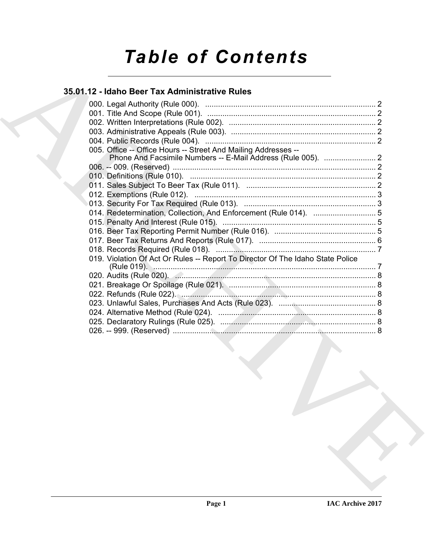# *Table of Contents*

### **35.01.12 - Idaho Beer Tax Administrative Rules**

| 35.01.12 - Idaho Beer Tax Administrative Rules                                 |  |
|--------------------------------------------------------------------------------|--|
|                                                                                |  |
|                                                                                |  |
|                                                                                |  |
|                                                                                |  |
| 005. Office -- Office Hours -- Street And Mailing Addresses --                 |  |
|                                                                                |  |
|                                                                                |  |
|                                                                                |  |
|                                                                                |  |
|                                                                                |  |
|                                                                                |  |
|                                                                                |  |
|                                                                                |  |
|                                                                                |  |
|                                                                                |  |
| 019. Violation Of Act Or Rules -- Report To Director Of The Idaho State Police |  |
|                                                                                |  |
|                                                                                |  |
|                                                                                |  |
|                                                                                |  |
|                                                                                |  |
|                                                                                |  |
|                                                                                |  |
|                                                                                |  |
|                                                                                |  |
|                                                                                |  |
|                                                                                |  |
|                                                                                |  |
|                                                                                |  |
|                                                                                |  |
|                                                                                |  |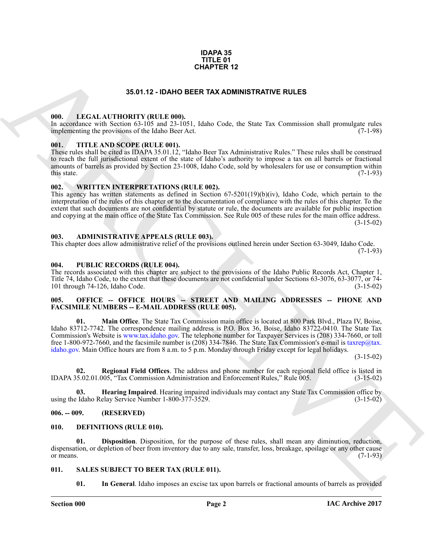### **IDAPA 35 TITLE 01 CHAPTER 12**

### **35.01.12 - IDAHO BEER TAX ADMINISTRATIVE RULES**

### <span id="page-1-1"></span><span id="page-1-0"></span>**000. LEGAL AUTHORITY (RULE 000).**

In accordance with Section 63-105 and 23-1051, Idaho Code, the State Tax Commission shall promulgate rules implementing the provisions of the Idaho Beer Act.  $(7-1-98)$ implementing the provisions of the Idaho Beer Act.

### <span id="page-1-2"></span>**001. TITLE AND SCOPE (RULE 001).**

These rules shall be cited as IDAPA 35.01.12, "Idaho Beer Tax Administrative Rules." These rules shall be construed to reach the full jurisdictional extent of the state of Idaho's authority to impose a tax on all barrels or fractional amounts of barrels as provided by Section 23-1008, Idaho Code, sold by wholesalers for use or consumption within this state.  $(7-1-93)$ 

### <span id="page-1-3"></span>**002. WRITTEN INTERPRETATIONS (RULE 002).**

This agency has written statements as defined in Section 67-5201(19)(b)(iv), Idaho Code, which pertain to the interpretation of the rules of this chapter or to the documentation of compliance with the rules of this chapter. To the extent that such documents are not confidential by statute or rule, the documents are available for public inspection and copying at the main office of the State Tax Commission. See Rule 005 of these rules for the main office address. (3-15-02)

### <span id="page-1-4"></span>**003. ADMINISTRATIVE APPEALS (RULE 003).**

This chapter does allow administrative relief of the provisions outlined herein under Section 63-3049, Idaho Code.  $(7-1-93)$ 

### <span id="page-1-5"></span>**004. PUBLIC RECORDS (RULE 004).**

The records associated with this chapter are subject to the provisions of the Idaho Public Records Act, Chapter 1, Title 74, Idaho Code, to the extent that these documents are not confidential under Sections 63-3076, 63-3077, or 74-<br>101 through 74-126, Idaho Code. (3-15-02) 101 through 74-126, Idaho Code.

### <span id="page-1-6"></span>005. OFFICE -- OFFICE HOURS -- STREET AND MAILING ADDRESSES -- PHONE AND **FACSIMILE NUMBERS -- E-MAIL ADDRESS (RULE 005).**

**35.01.12 - IDAN DER FIRE 12**<br>**35.01.12 - IDAN DER FIRA ADMINISTRATI[V](mailto:taxrep@tax. idaho.gov)E RULES**<br>
(III). IF CALL ARTITION TV (REIT A different TAX ADMINISTRATIVE RULES)<br>
In constraint the properties of the first of the Same Constraint Rules **01. Main Office**. The State Tax Commission main office is located at 800 Park Blvd., Plaza IV, Boise, Idaho 83712-7742. The correspondence mailing address is P.O. Box 36, Boise, Idaho 83722-0410. The State Tax Commission's Website is www.tax.idaho.gov. The telephone number for Taxpayer Services is (208) 334-7660, or toll free 1-800-972-7660, and the facsimile number is (208) 334-7846. The State Tax Commission's e-mail is taxrep@tax. idaho.gov. Main Office hours are from 8 a.m. to 5 p.m. Monday through Friday except for legal holidays.

(3-15-02)

**02. Regional Field Offices**. The address and phone number for each regional field office is listed in 5.02.01.005. "Tax Commission Administration and Enforcement Rules." Rule 005. (3-15-02) IDAPA 35.02.01.005, "Tax Commission Administration and Enforcement Rules," Rule 005.

**03. Hearing Impaired**. Hearing impaired individuals may contact any State Tax Commission office by lable 1-800-377-3529. (3-15-02) using the Idaho Relay Service Number 1-800-377-3529.

### <span id="page-1-7"></span>**006. -- 009. (RESERVED)**

### <span id="page-1-10"></span><span id="page-1-8"></span>**010. DEFINITIONS (RULE 010).**

<span id="page-1-11"></span>**01. Disposition**. Disposition, for the purpose of these rules, shall mean any diminution, reduction, dispensation, or depletion of beer from inventory due to any sale, transfer, loss, breakage, spoilage or any other cause or means.  $(7-1-93)$ 

### <span id="page-1-9"></span>**011. SALES SUBJECT TO BEER TAX (RULE 011).**

<span id="page-1-13"></span><span id="page-1-12"></span>**01. In General**. Idaho imposes an excise tax upon barrels or fractional amounts of barrels as provided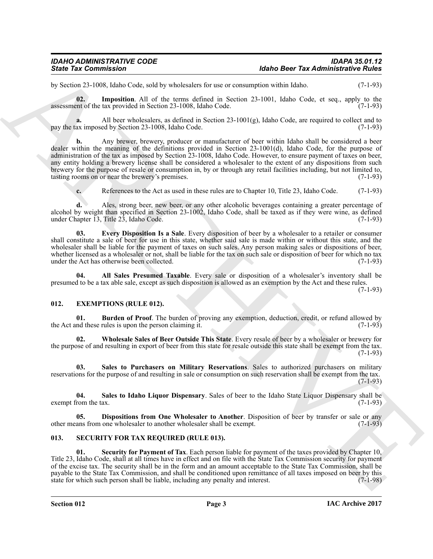by Section 23-1008, Idaho Code, sold by wholesalers for use or consumption within Idaho. (7-1-93)

<span id="page-2-10"></span>**02.** Imposition. All of the terms defined in Section 23-1001, Idaho Code, et seq., apply to the term of the tax provided in Section 23-1008. Idaho Code. (7-1-93) assessment of the tax provided in Section 23-1008, Idaho Code.

**a.** All beer wholesalers, as defined in Section 23-1001(g), Idaho Code, are required to collect and to ax imposed by Section 23-1008. Idaho Code. pay the tax imposed by Section 23-1008, Idaho Code.

Sinte Tax Commission<br>
19 Solven 2008 Lives with vestimation and so we commission and interest in the commission of the Solven 2-1991<br>
19 Solven 2008 Lives with the sympaton and so the sympaton and solven 2-1991, Island Co **b.** Any brewer, brewery, producer or manufacturer of beer within Idaho shall be considered a beer dealer within the meaning of the definitions provided in Section 23-1001(d), Idaho Code, for the purpose of administration of the tax as imposed by Section 23-1008, Idaho Code. However, to ensure payment of taxes on beer, any entity holding a brewery license shall be considered a wholesaler to the extent of any dispositions from such brewery for the purpose of resale or consumption in, by or through any retail facilities including, but not limited to, tasting rooms on or near the brewery's premises. (7-1-93) tasting rooms on or near the brewery's premises.

<span id="page-2-9"></span>**c.** References to the Act as used in these rules are to Chapter 10, Title 23, Idaho Code. (7-1-93)

**d.** Ales, strong beer, new beer, or any other alcoholic beverages containing a greater percentage of alcohol by weight than specified in Section 23-1002, Idaho Code, shall be taxed as if they were wine, as defined under Chapter 13, Title 23, Idaho Code. (7-1-93)

**03. Every Disposition Is a Sale**. Every disposition of beer by a wholesaler to a retailer or consumer shall constitute a sale of beer for use in this state, whether said sale is made within or without this state, and the wholesaler shall be liable for the payment of taxes on such sales. Any person making sales or dispositions of beer, whether licensed as a wholesaler or not, shall be liable for the tax on such sale or disposition of beer for which no tax under the Act has otherwise been collected. (7-1-93) under the Act has otherwise been collected.

<span id="page-2-8"></span>**04. All Sales Presumed Taxable**. Every sale or disposition of a wholesaler's inventory shall be presumed to be a tax able sale, except as such disposition is allowed as an exemption by the Act and these rules.

 $(7-1-93)$ 

### <span id="page-2-2"></span><span id="page-2-0"></span>**012. EXEMPTIONS (RULE 012).**

<span id="page-2-3"></span>**01. Burden of Proof**. The burden of proving any exemption, deduction, credit, or refund allowed by nd these rules is upon the person claiming it. (7-1-93) the Act and these rules is upon the person claiming it.

<span id="page-2-7"></span>**02. Wholesale Sales of Beer Outside This State**. Every resale of beer by a wholesaler or brewery for the purpose of and resulting in export of beer from this state for resale outside this state shall be exempt from the tax. (7-1-93)

<span id="page-2-6"></span>**03. Sales to Purchasers on Military Reservations**. Sales to authorized purchasers on military reservations for the purpose of and resulting in sale or consumption on such reservation shall be exempt from the tax. (7-1-93)

<span id="page-2-5"></span>**04. Sales to Idaho Liquor Dispensary**. Sales of beer to the Idaho State Liquor Dispensary shall be exempt from the tax.

<span id="page-2-4"></span>**05. Dispositions from One Wholesaler to Another**. Disposition of beer by transfer or sale or any other means from one wholesaler to another wholesaler shall be exempt. (7-1-93)

### <span id="page-2-11"></span><span id="page-2-1"></span>**013. SECURITY FOR TAX REQUIRED (RULE 013).**

<span id="page-2-12"></span>**01. Security for Payment of Tax**. Each person liable for payment of the taxes provided by Chapter 10, Title 23, Idaho Code, shall at all times have in effect and on file with the State Tax Commission security for payment of the excise tax. The security shall be in the form and an amount acceptable to the State Tax Commission, shall be payable to the State Tax Commission, and shall be conditioned upon remittance of all taxes imposed on beer by this state for which such person shall be liable, including any penalty and interest. (7-1-98) state for which such person shall be liable, including any penalty and interest.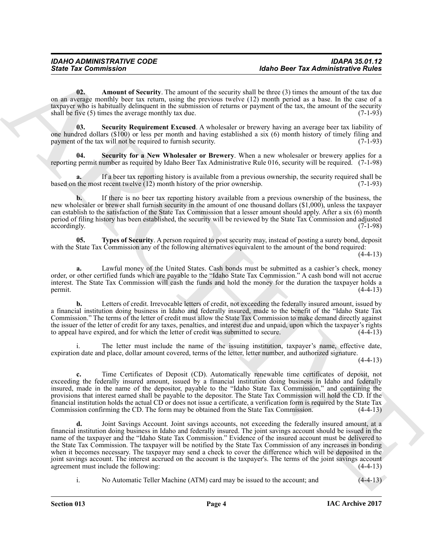<span id="page-3-0"></span>**02.** Amount of Security. The amount of the security shall be three (3) times the amount of the tax due on an average monthly beer tax return, using the previous twelve (12) month period as a base. In the case of a taxpayer who is habitually delinquent in the submission of returns or payment of the tax, the amount of the security shall be five  $(5)$  times the average monthly tax due.  $(7-1-93)$ 

<span id="page-3-2"></span>**03. Security Requirement Excused**. A wholesaler or brewery having an average beer tax liability of one hundred dollars (\$100) or less per month and having established a six (6) month history of timely filing and payment of the tax will not be required to furnish security. (7-1-93)

<span id="page-3-1"></span>**04. Security for a New Wholesaler or Brewery**. When a new wholesaler or brewery applies for a reporting permit number as required by Idaho Beer Tax Administrative Rule 016, security will be required. (7-1-98)

**a.** If a beer tax reporting history is available from a previous ownership, the security required shall be based on the most recent twelve (12) month history of the prior ownership. (7-1-93)

**b.** If there is no beer tax reporting history available from a previous ownership of the business, the new wholesaler or brewer shall furnish security in the amount of one thousand dollars (\$1,000), unless the taxpayer can establish to the satisfaction of the State Tax Commission that a lesser amount should apply. After a six (6) month period of filing history has been established, the security will be reviewed by the State Tax Commission and adjusted accordingly. (7-1-98) accordingly. (7-1-98) (3.1)

<span id="page-3-3"></span>**05. Types of Security**. A person required to post security may, instead of posting a surety bond, deposit with the State Tax Commission any of the following alternatives equivalent to the amount of the bond required:

 $(4-4-13)$ 

**a.** Lawful money of the United States. Cash bonds must be submitted as a cashier's check, money order, or other certified funds which are payable to the "Idaho State Tax Commission." A cash bond will not accrue interest. The State Tax Commission will cash the funds and hold the money for the duration the taxpayer holds a permit.  $(4-4-13)$ 

**b.** Letters of credit. Irrevocable letters of credit, not exceeding the federally insured amount, issued by a financial institution doing business in Idaho and federally insured, made to the benefit of the "Idaho State Tax Commission." The terms of the letter of credit must allow the State Tax Commission to make demand directly against the issuer of the letter of credit for any taxes, penalties, and interest due and unpaid, upon which the taxpayer's rights to appeal have expired, and for which the letter of credit was submitted to secure. (4-4-13) to appeal have expired, and for which the letter of credit was submitted to secure.

i. The letter must include the name of the issuing institution, taxpayer's name, effective date, expiration date and place, dollar amount covered, terms of the letter, letter number, and authorized signature.

 $(4-4-13)$ 

**c.** Time Certificates of Deposit (CD). Automatically renewable time certificates of deposit, not exceeding the federally insured amount, issued by a financial institution doing business in Idaho and federally insured, made in the name of the depositor, payable to the "Idaho State Tax Commission," and containing the provisions that interest earned shall be payable to the depositor. The State Tax Commission will hold the CD. If the financial institution holds the actual CD or does not issue a certificate, a verification form is required by the State Tax Commission confirming the CD. The form may be obtained from the State Tax Commission. (4-4-13)

Since Tax Commission<br>
The Research of Neuron Commission and the secunt state for the secund state of the second of the second of the second of the second of the second of the second of the second of the second of the seco **d.** Joint Savings Account. Joint savings accounts, not exceeding the federally insured amount, at a financial institution doing business in Idaho and federally insured. The joint savings account should be issued in the name of the taxpayer and the "Idaho State Tax Commission." Evidence of the insured account must be delivered to the State Tax Commission. The taxpayer will be notified by the State Tax Commission of any increases in bonding when it becomes necessary. The taxpayer may send a check to cover the difference which will be deposited in the joint savings account. The interest accrued on the account is the taxpayer's. The terms of the joint savings account agreement must include the following:

i. No Automatic Teller Machine (ATM) card may be issued to the account; and (4-4-13)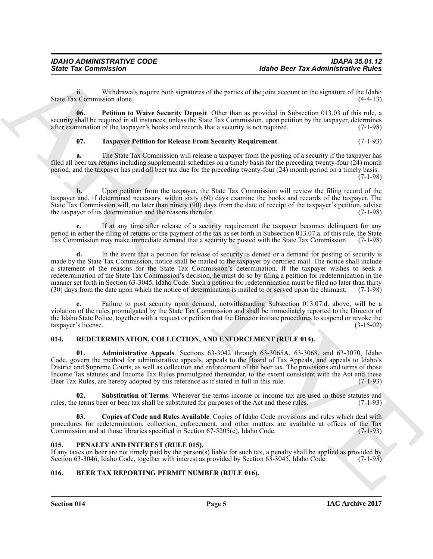ii. Withdrawals require both signatures of the parties of the joint account or the signature of the Idaho (4-4-13) State Tax Commission alone.

**06. Petition to Waive Security Deposit**. Other than as provided in Subsection 013.03 of this rule, a security shall be required in all instances, unless the State Tax Commission, upon petition by the taxpayer, determines after examination of the taxpayer's books and records that a security is not required. (7-1-98) after examination of the taxpayer's books and records that a security is not required.

### <span id="page-4-10"></span><span id="page-4-9"></span>**07. Taxpayer Petition for Release From Security Requirement**. (7-1-93)

**a.** The State Tax Commission will release a taxpayer from the posting of a security if the taxpayer has filed all beer tax returns including supplemental schedules on a timely basis for the preceding twenty-four (24) month period, and the taxpayer has paid all beer tax due for the preceding twenty-four (24) month period on a timely basis.

(7-1-98)

**b.** Upon petition from the taxpayer, the State Tax Commission will review the filing record of the taxpayer and, if determined necessary, within sixty (60) days examine the books and records of the taxpayer. The State Tax Commission will, no later than ninety (90) days from the date of receipt of the taxpayer's petition, advise the taxpayer of its determination and the reasons therefor. (7-1-98)

**c.** If at any time after release of a security requirement the taxpayer becomes delinquent for any period in either the filing of returns or the payment of the tax as set forth in Subsection 013.07.a. of this rule, the State<br>Tax Commission may make immediate demand that a security be posted with the State Tax Commission Tax Commission may make immediate demand that a security be posted with the State Tax Commission.

Sinte Tax Commission<br>
Sinte Tax Commission<br>
Walker and the procedure of the practice of the procedure and the procedure of the signature of the signature of the signature of the signature of the signature of the signature **d.** In the event that a petition for release of security is denied or a demand for posting of security is made by the State Tax Commission, notice shall be mailed to the taxpayer by certified mail. The notice shall include a statement of the reasons for the State Tax Commission's determination. If the taxpayer wishes to seek a redetermination of the State Tax Commission's decision, he must do so by filing a petition for redetermination in the manner set forth in Section 63-3045, Idaho Code. Such a petition for redetermination must be filed no later than thirty (30) days from the date upon which the notice of determination is mailed to or served upon the claimant. (7-1-98)

**e.** Failure to post security upon demand, notwithstanding Subsection 013.07.d. above, will be a violation of the rules promulgated by the State Tax Commission and shall be immediately reported to the Director of the Idaho State Police, together with a request or petition that the Director initiate procedures to suspend or revoke the taxpayer's license. taxpayer's license.

### <span id="page-4-5"></span><span id="page-4-0"></span>**014. REDETERMINATION, COLLECTION, AND ENFORCEMENT (RULE 014).**

<span id="page-4-6"></span>**01. Administrative Appeals**. Sections 63-3042 through 63-3065A, 63-3068, and 63-3070, Idaho Code, govern the method for administrative appeals, appeals to the Board of Tax Appeals, and appeals to Idaho's District and Supreme Courts, as well as collection and enforcement of the beer tax. The provisions and terms of those Income Tax statutes and Income Tax Rules promulgated thereunder, to the extent consistent with the Act and these Beer Tax Rules, are hereby adopted by this reference as if stated in full in this rule. (7-1-93)

<span id="page-4-8"></span>**02. Substitution of Terms**. Wherever the terms income or income tax are used in those statutes and terms beer or beer tax shall be substituted for purposes of the Act and these rules. (7-1-93) rules, the terms beer or beer tax shall be substituted for purposes of the Act and these rules.

<span id="page-4-7"></span>**03. Copies of Code and Rules Available**. Copies of Idaho Code provisions and rules which deal with procedures for redetermination, collection, enforcement, and other matters are available at offices of the Tax<br>Commission and at those libraries specified in Section 67-5205(c), Idaho Code. (7-1-93) Commission and at those libraries specified in Section  $67-5205(c)$ , Idaho Code.

### <span id="page-4-4"></span><span id="page-4-1"></span>**015. PENALTY AND INTEREST (RULE 015).**

If any taxes on beer are not timely paid by the person(s) liable for such tax, a penalty shall be applied as provided by Section 63-3045, Idaho Code.  $(7-1-93)$ Section 63-3046, Idaho Code, together with interest as provided by Section 63-3045, Idaho Code.

### <span id="page-4-3"></span><span id="page-4-2"></span>**016. BEER TAX REPORTING PERMIT NUMBER (RULE 016).**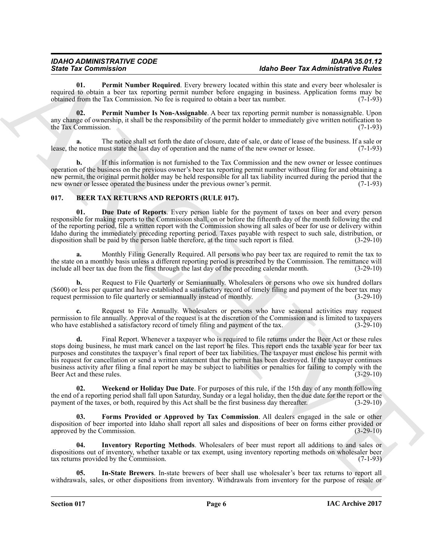<span id="page-5-2"></span>**01.** Permit Number Required. Every brewery located within this state and every beer wholesaler is required to obtain a beer tax reporting permit number before engaging in business. Application forms may be obtained from the Tax Commission. No fee is required to obtain a beer tax number. (7-1-93) obtained from the Tax Commission. No fee is required to obtain a beer tax number.

<span id="page-5-1"></span>**02. Permit Number Is Non-Assignable**. A beer tax reporting permit number is nonassignable. Upon any change of ownership, it shall be the responsibility of the permit holder to immediately give written notification to the Tax Commission. (7-1-93) the Tax Commission.

**a.** The notice shall set forth the date of closure, date of sale, or date of lease of the business. If a sale or lease, the notice must state the last day of operation and the name of the new owner or lessee. (7-1-93)

**b.** If this information is not furnished to the Tax Commission and the new owner or lessee continues operation of the business on the previous owner's beer tax reporting permit number without filing for and obtaining a new permit, the original permit holder may be held responsible for all tax liability incurred during the period that the new owner or lessee operated the business under the previous owner's permit. (7-1-93)

### <span id="page-5-3"></span><span id="page-5-0"></span>**017. BEER TAX RETURNS AND REPORTS (RULE 017).**

<span id="page-5-4"></span>**01. Due Date of Reports**. Every person liable for the payment of taxes on beer and every person responsible for making reports to the Commission shall, on or before the fifteenth day of the month following the end of the reporting period, file a written report with the Commission showing all sales of beer for use or delivery within Idaho during the immediately preceding reporting period. Taxes payable with respect to such sale, distribution, or disposition shall be paid by the person liable therefore, at the time such report is filed. (3-29-10) disposition shall be paid by the person liable therefore, at the time such report is filed.

**a.** Monthly Filing Generally Required. All persons who pay beer tax are required to remit the tax to the state on a monthly basis unless a different reporting period is prescribed by the Commission. The remittance will include all beer tax due from the first through the last day of the preceding calendar month. (3-29-10) include all beer tax due from the first through the last day of the preceding calendar month.

**b.** Request to File Quarterly or Semiannually. Wholesalers or persons who owe six hundred dollars (\$600) or less per quarter and have established a satisfactory record of timely filing and payment of the beer tax may request permission to file quarterly or semiannually instead of monthly.  $(3-29-10)$ request permission to file quarterly or semiannually instead of monthly.

**c.** Request to File Annually. Wholesalers or persons who have seasonal activities may request permission to file annually. Approval of the request is at the discretion of the Commission and is limited to taxpayers<br>who have established a satisfactory record of timely filing and payment of the tax. (3-29-10) who have established a satisfactory record of timely filing and payment of the tax.

Since Tax Commissions in the state state of the state of the Bioce Tax Administration is a state of the state of the state of the state of the state of the state of the state of the state of the state is a state of the st Final Report. Whenever a taxpayer who is required to file returns under the Beer Act or these rules stops doing business, he must mark cancel on the last report he files. This report ends the taxable year for beer tax purposes and constitutes the taxpayer's final report of beer tax liabilities. The taxpayer must enclose his permit with his request for cancellation or send a written statement that the permit has been destroyed. If the taxpayer continues business activity after filing a final report he may be subject to liabilities or penalties for failing to comply with the Beer Act and these rules. (3-29-10) Beer Act and these rules.

<span id="page-5-8"></span>**02. Weekend or Holiday Due Date**. For purposes of this rule, if the 15th day of any month following the end of a reporting period shall fall upon Saturday, Sunday or a legal holiday, then the due date for the report or the payment of the taxes, or both, required by this Act shall be the first business day thereafter. (3payment of the taxes, or both, required by this Act shall be the first business day thereafter.

<span id="page-5-5"></span>**03. Forms Provided or Approved by Tax Commission**. All dealers engaged in the sale or other disposition of beer imported into Idaho shall report all sales and dispositions of beer on forms either provided or approved by the Commission. (3-29-10) approved by the Commission.

<span id="page-5-7"></span>**04. Inventory Reporting Methods**. Wholesalers of beer must report all additions to and sales or dispositions out of inventory, whether taxable or tax exempt, using inventory reporting methods on wholesaler beer<br>tax returns provided by the Commission. (7-1-93) tax returns provided by the Commission.

<span id="page-5-6"></span>**05. In-State Brewers**. In-state brewers of beer shall use wholesaler's beer tax returns to report all withdrawals, sales, or other dispositions from inventory. Withdrawals from inventory for the purpose of resale or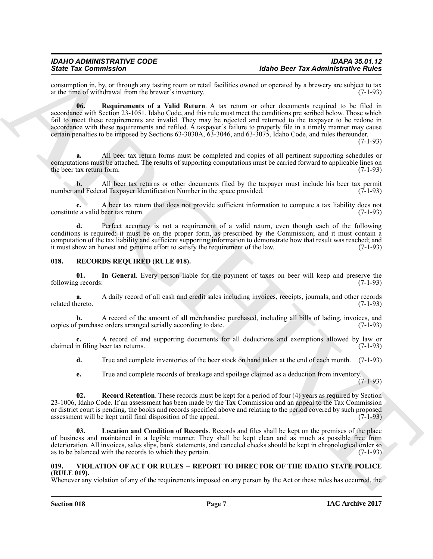<span id="page-6-2"></span>consumption in, by, or through any tasting room or retail facilities owned or operated by a brewery are subject to tax at the time of withdrawal from the brewer's inventory. (7-1-93) at the time of withdrawal from the brewer's inventory.

Since Tax Commission in the state of the state of the state of the state of the state of the state of the state of the state of the state of the state of the state of the state of the state of the state of the state of th **06. Requirements of a Valid Return**. A tax return or other documents required to be filed in accordance with Section 23-1051, Idaho Code, and this rule must meet the conditions pre scribed below. Those which fail to meet these requirements are invalid. They may be rejected and returned to the taxpayer to be redone in accordance with these requirements and refiled. A taxpayer's failure to properly file in a timely manner may cause certain penalties to be imposed by Sections 63-3030A, 63-3046, and 63-3075, Idaho Code, and rules thereunder.

(7-1-93)

**a.** All beer tax return forms must be completed and copies of all pertinent supporting schedules or computations must be attached. The results of supporting computations must be carried forward to applicable lines on the beer tax return form.

**b.** All beer tax returns or other documents filed by the taxpayer must include his beer tax permit and Federal Taxpayer Identification Number in the space provided. (7-1-93) number and Federal Taxpayer Identification Number in the space provided.

**c.** A beer tax return that does not provide sufficient information to compute a tax liability does not constitute a valid beer tax return. (7-1-93)

**d.** Perfect accuracy is not a requirement of a valid return, even though each of the following conditions is required: it must be on the proper form, as prescribed by the Commission; and it must contain a computation of the tax liability and sufficient supporting information to demonstrate how that result was reached; and it must show an honest and genuine effort to satisfy the requirement of the law. (7-1-93) it must show an honest and genuine effort to satisfy the requirement of the law.

### <span id="page-6-3"></span><span id="page-6-0"></span>**018. RECORDS REQUIRED (RULE 018).**

<span id="page-6-4"></span>**01.** In General. Every person liable for the payment of taxes on beer will keep and preserve the g records: (7-1-93) following records:

**a.** A daily record of all cash and credit sales including invoices, receipts, journals, and other records (7-1-93) related thereto.

**b.** A record of the amount of all merchandise purchased, including all bills of lading, invoices, and  $\tilde{f}$  purchase orders arranged serially according to date. (7-1-93) copies of purchase orders arranged serially according to date.

**c.** A record of and supporting documents for all deductions and exemptions allowed by law or in filing beer tax returns. (7-1-93) claimed in filing beer tax returns.

**d.** True and complete inventories of the beer stock on hand taken at the end of each month. (7-1-93)

<span id="page-6-6"></span>**e.** True and complete records of breakage and spoilage claimed as a deduction from inventory.  $(7-1-93)$ 

**02.** Record Retention. These records must be kept for a period of four (4) years as required by Section 23-1006, Idaho Code. If an assessment has been made by the Tax Commission and an appeal to the Tax Commission or district court is pending, the books and records specified above and relating to the period covered by such proposed assessment will be kept until final disposition of the appeal. (7-1-93)

<span id="page-6-5"></span>**03. Location and Condition of Records**. Records and files shall be kept on the premises of the place of business and maintained in a legible manner. They shall be kept clean and as much as possible free from deterioration. All invoices, sales slips, bank statements, and canceled checks should be kept in chronological order so as to be balanced with the records to which they pertain. as to be balanced with the records to which they pertain.

### <span id="page-6-7"></span><span id="page-6-1"></span>**019. VIOLATION OF ACT OR RULES -- REPORT TO DIRECTOR OF THE IDAHO STATE POLICE (RULE 019).**

Whenever any violation of any of the requirements imposed on any person by the Act or these rules has occurred, the

**Section 018 Page 7**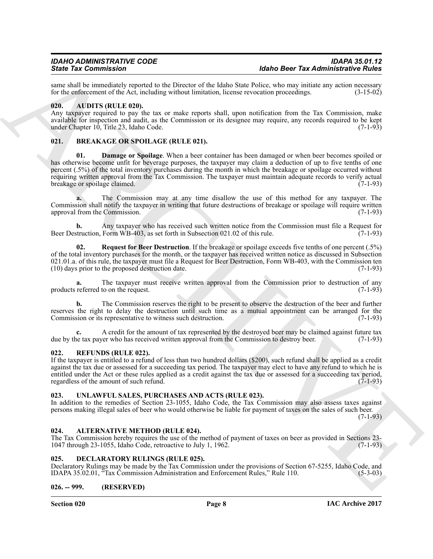same shall be immediately reported to the Director of the Idaho State Police, who may initiate any action necessary<br>for the enforcement of the Act. including without limitation. license revocation proceedings. (3-15-02) for the enforcement of the Act, including without limitation, license revocation proceedings.

### <span id="page-7-8"></span><span id="page-7-0"></span>**020. AUDITS (RULE 020).**

Any taxpayer required to pay the tax or make reports shall, upon notification from the Tax Commission, make available for inspection and audit, as the Commission or its designee may require, any records required to be kept under Chapter 10. Title 23. Idaho Code. (7-1-93) under Chapter  $10$ , Title 23, Idaho Code.

### <span id="page-7-10"></span><span id="page-7-9"></span><span id="page-7-1"></span>**021. BREAKAGE OR SPOILAGE (RULE 021).**

Since Tax Commission and the base of the line of the since Tax Administration is the since Tax Administration of the since the since the since the since the since the since the since the since the since the since the sinc **01. Damage or Spoilage**. When a beer container has been damaged or when beer becomes spoiled or has otherwise become unfit for beverage purposes, the taxpayer may claim a deduction of up to five tenths of one percent (.5%) of the total inventory purchases during the month in which the breakage or spoilage occurred without requiring written approval from the Tax Commission. The taxpayer must maintain adequate records to verify actual breakage or spoilage claimed. (7-1-93)

**a.** The Commission may at any time disallow the use of this method for any taxpayer. The Commission shall notify the taxpayer in writing that future destructions of breakage or spoilage will require written approval from the Commission. (7-1-93)

**b.** Any taxpayer who has received such written notice from the Commission must file a Request for truction. Form WB-403, as set forth in Subsection 021.02 of this rule. (7-1-93) Beer Destruction, Form WB-403, as set forth in Subsection 021.02 of this rule.

<span id="page-7-11"></span>**02. Request for Beer Destruction**. If the breakage or spoilage exceeds five tenths of one percent (.5%) of the total inventory purchases for the month, or the taxpayer has received written notice as discussed in Subsection 021.01.a. of this rule, the taxpayer must file a Request for Beer Destruction, Form WB-403, with the Commission ten  $(10)$  days prior to the proposed destruction date.  $(7-1-93)$  $(10)$  days prior to the proposed destruction date.

The taxpayer must receive written approval from the Commission prior to destruction of any to on the request. (7-1-93) products referred to on the request.

**b.** The Commission reserves the right to be present to observe the destruction of the beer and further reserves the right to delay the destruction until such time as a mutual appointment can be arranged for the Commission or its representative to witness such destruction. (7-1-93) Commission or its representative to witness such destruction.

**c.** A credit for the amount of tax represented by the destroyed beer may be claimed against future tax have tax payer who has received written approval from the Commission to destroy beer. (7-1-93) due by the tax payer who has received written approval from the Commission to destroy beer.

### <span id="page-7-12"></span><span id="page-7-2"></span>**022. REFUNDS (RULE 022).**

If the taxpayer is entitled to a refund of less than two hundred dollars (\$200), such refund shall be applied as a credit against the tax due or assessed for a succeeding tax period. The taxpayer may elect to have any refund to which he is entitled under the Act or these rules applied as a credit against the tax due or assessed for a succeeding tax period, regardless of the amount of such refund. (7-1-93)

### <span id="page-7-13"></span><span id="page-7-3"></span>**023. UNLAWFUL SALES, PURCHASES AND ACTS (RULE 023).**

In addition to the remedies of Section 23-1055, Idaho Code, the Tax Commission may also assess taxes against persons making illegal sales of beer who would otherwise be liable for payment of taxes on the sales of such beer.  $(7-1-93)$ 

### <span id="page-7-7"></span><span id="page-7-4"></span>**024. ALTERNATIVE METHOD (RULE 024).**

The Tax Commission hereby requires the use of the method of payment of taxes on beer as provided in Sections 23- 1047 through 23-1055, Idaho Code, retroactive to July 1, 1962. (7-1-93)

### <span id="page-7-5"></span>**025. DECLARATORY RULINGS (RULE 025).**

Declaratory Rulings may be made by the Tax Commission under the provisions of Section 67-5255, Idaho Code, and IDAPA 35.02.01, "Tax Commission Administration and Enforcement Rules," Rule 110. (5-3-03)

### <span id="page-7-6"></span>**026. -- 999. (RESERVED)**

**Section 020 Page 8**